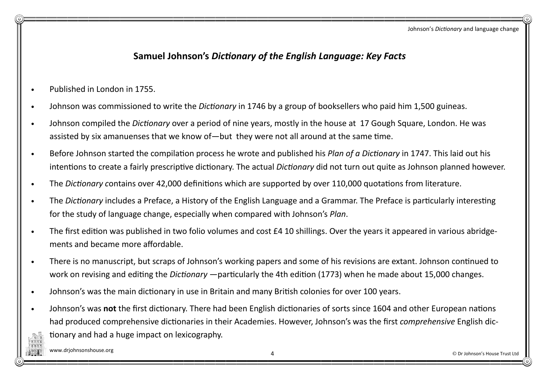## Samuel Johnson's Dictionary of the English Language: Key Facts

- Published in London in 1755.
- Johnson was commissioned to write the *Dictionary* in 1746 by a group of booksellers who paid him 1,500 guineas.
- Johnson compiled the Dictionary over a period of nine years, mostly in the house at 17 Gough Square, London. He was assisted by six amanuenses that we know of—but they were not all around at the same time.
- Before Johnson started the compilation process he wrote and published his Plan of a Dictionary in 1747. This laid out his intentions to create a fairly prescriptive dictionary. The actual Dictionary did not turn out quite as Johnson planned however.
- The Dictionary contains over 42,000 definitions which are supported by over 110,000 quotations from literature.
- The Dictionary includes a Preface, a History of the English Language and a Grammar. The Preface is particularly interesting for the study of language change, especially when compared with Johnson's Plan.
- The first edition was published in two folio volumes and cost £4 10 shillings. Over the years it appeared in various abridgements and became more affordable.
- There is no manuscript, but scraps of Johnson's working papers and some of his revisions are extant. Johnson continued to work on revising and editing the *Dictionary* —particularly the 4th edition (1773) when he made about 15,000 changes.
- Johnson's was the main dictionary in use in Britain and many British colonies for over 100 years.
- Johnson's was not the first dictionary. There had been English dictionaries of sorts since 1604 and other European nations had produced comprehensive dictionaries in their Academies. However, Johnson's was the first comprehensive English dictionary and had a huge impact on lexicography.

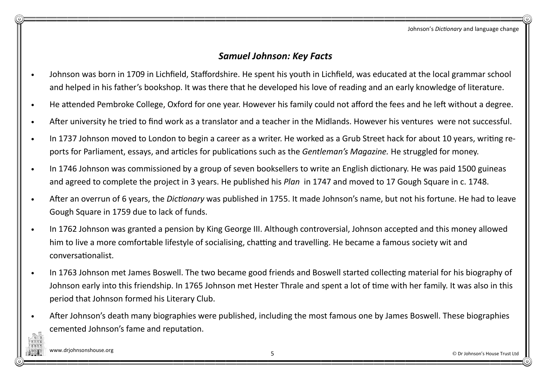Johnson's Dictionary and language change

## Samuel Johnson: Key Facts

- Johnson was born in 1709 in Lichfield, Staffordshire. He spent his youth in Lichfield, was educated at the local grammar school and helped in his father's bookshop. It was there that he developed his love of reading and an early knowledge of literature.
- He attended Pembroke College, Oxford for one year. However his family could not afford the fees and he left without a degree.
- After university he tried to find work as a translator and a teacher in the Midlands. However his ventures were not successful.
- In 1737 Johnson moved to London to begin a career as a writer. He worked as a Grub Street hack for about 10 years, writing reports for Parliament, essays, and articles for publications such as the Gentleman's Magazine. He struggled for money.
- In 1746 Johnson was commissioned by a group of seven booksellers to write an English dictionary. He was paid 1500 guineas and agreed to complete the project in 3 years. He published his Plan in 1747 and moved to 17 Gough Square in c. 1748.
- After an overrun of 6 years, the Dictionary was published in 1755. It made Johnson's name, but not his fortune. He had to leave Gough Square in 1759 due to lack of funds.
- In 1762 Johnson was granted a pension by King George III. Although controversial, Johnson accepted and this money allowed him to live a more comfortable lifestyle of socialising, chatting and travelling. He became a famous society wit and conversationalist.
- In 1763 Johnson met James Boswell. The two became good friends and Boswell started collecting material for his biography of Johnson early into this friendship. In 1765 Johnson met Hester Thrale and spent a lot of time with her family. It was also in this period that Johnson formed his Literary Club.
- After Johnson's death many biographies were published, including the most famous one by James Boswell. These biographies cemented Johnson's fame and reputation.

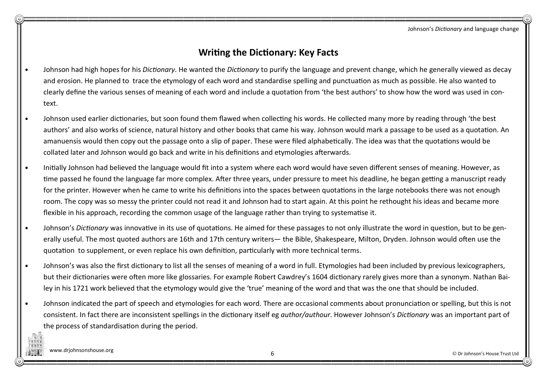Johnson's Dictionary and language change

## Writing the Dictionary: Key Facts

- Johnson had high hopes for his *Dictionary*. He wanted the *Dictionary* to purify the language and prevent change, which he generally viewed as decay and erosion. He planned to trace the etymology of each word and standardise spelling and punctuation as much as possible. He also wanted to clearly define the various senses of meaning of each word and include a quotation from 'the best authors' to show how the word was used in context.
- Johnson used earlier dictionaries, but soon found them flawed when collecting his words. He collected many more by reading through 'the best authors' and also works of science, natural history and other books that came his way. Johnson would mark a passage to be used as a quotation. An amanuensis would then copy out the passage onto a slip of paper. These were filed alphabetically. The idea was that the quotations would be collated later and Johnson would go back and write in his definitions and etymologies afterwards.
- Initially Johnson had believed the language would fit into a system where each word would have seven different senses of meaning. However, as time passed he found the language far more complex. After three years, under pressure to meet his deadline, he began getting a manuscript ready for the printer. However when he came to write his definitions into the spaces between quotations in the large notebooks there was not enough room. The copy was so messy the printer could not read it and Johnson had to start again. At this point he rethought his ideas and became more flexible in his approach, recording the common usage of the language rather than trying to systematise it.
- Johnson's Dictionary was innovative in its use of quotations. He aimed for these passages to not only illustrate the word in question, but to be generally useful. The most quoted authors are 16th and 17th century writers— the Bible, Shakespeare, Milton, Dryden. Johnson would often use the quotation to supplement, or even replace his own definition, particularly with more technical terms.
- Johnson's was also the first dictionary to list all the senses of meaning of a word in full. Etymologies had been included by previous lexicographers, but their dictionaries were often more like glossaries. For example Robert Cawdrey's 1604 dictionary rarely gives more than a synonym. Nathan Bailey in his 1721 work believed that the etymology would give the 'true' meaning of the word and that was the one that should be included.
- Johnson indicated the part of speech and etymologies for each word. There are occasional comments about pronunciation or spelling, but this is not consistent. In fact there are inconsistent spellings in the dictionary itself eg *author/authour*. However Johnson's Dictionary was an important part of the process of standardisation during the period.